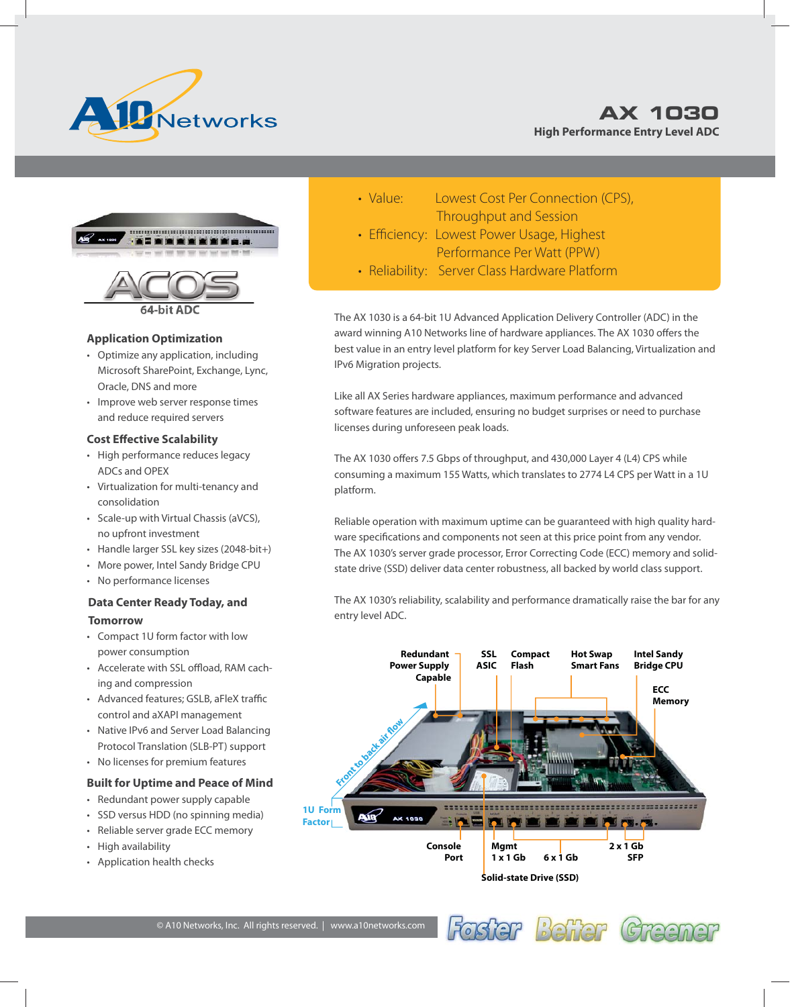



#### **Application Optimization**

- Optimize any application, including Microsoft SharePoint, Exchange, Lync, Oracle, DNS and more
- Improve web server response times and reduce required servers

#### **Cost Effective Scalability**

- High performance reduces legacy ADCs and OPEX
- Virtualization for multi-tenancy and consolidation
- Scale-up with Virtual Chassis (aVCS), no upfront investment
- Handle larger SSL key sizes (2048-bit+)
- More power, Intel Sandy Bridge CPU
- No performance licenses

## **Data Center Ready Today, and Tomorrow**

- Compact 1U form factor with low power consumption
- Accelerate with SSL offload, RAM caching and compression
- Advanced features; GSLB, aFleX traffic control and aXAPI management
- Native IPv6 and Server Load Balancing Protocol Translation (SLB-PT) support
- No licenses for premium features

#### **Built for Uptime and Peace of Mind**

- Redundant power supply capable
- SSD versus HDD (no spinning media)
- Reliable server grade ECC memory
- High availability
- Application health checks
- Value: Lowest Cost Per Connection (CPS), Throughput and Session
- Efficiency: Lowest Power Usage, Highest Performance Per Watt (PPW)
- Reliability: Server Class Hardware Platform

The AX 1030 is a 64-bit 1U Advanced Application Delivery Controller (ADC) in the award winning A10 Networks line of hardware appliances. The AX 1030 offers the best value in an entry level platform for key Server Load Balancing, Virtualization and IPv6 Migration projects.

Like all AX Series hardware appliances, maximum performance and advanced software features are included, ensuring no budget surprises or need to purchase licenses during unforeseen peak loads.

The AX 1030 offers 7.5 Gbps of throughput, and 430,000 Layer 4 (L4) CPS while consuming a maximum 155 Watts, which translates to 2774 L4 CPS per Watt in a 1U platform.

Reliable operation with maximum uptime can be guaranteed with high quality hardware specifications and components not seen at this price point from any vendor. The AX 1030's server grade processor, Error Correcting Code (ECC) memory and solidstate drive (SSD) deliver data center robustness, all backed by world class support.

The AX 1030's reliability, scalability and performance dramatically raise the bar for any entry level ADC.